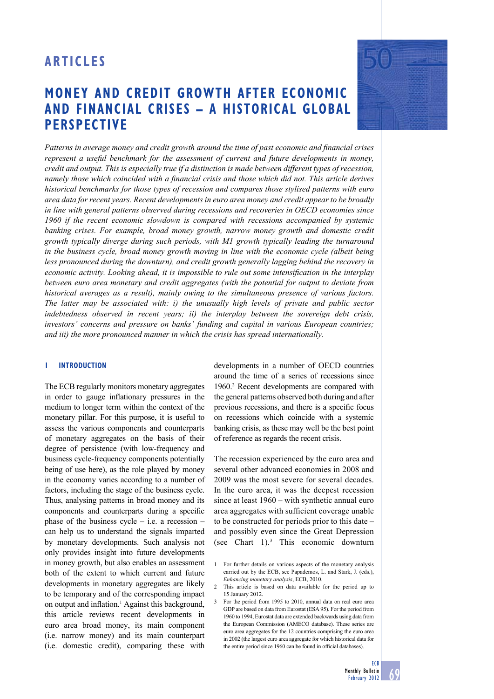# **MONEY AND CREDIT GROWTH AFTER ECONOMIC AND FINANCIAL CRISES – A HISTORICAL GLOBAL PERSPECTIVE**

Patterns in average money and credit growth around the time of past economic and financial crises *represent a useful benchmark for the assessment of current and future developments in money, credit and output. This is especially true if a distinction is made between different types of recession, namely those which coincided with a financial crisis and those which did not. This article derives historical benchmarks for those types of recession and compares those stylised patterns with euro area data for recent years. Recent developments in euro area money and credit appear to be broadly in line with general patterns observed during recessions and recoveries in OECD economies since 1960 if the recent economic slowdown is compared with recessions accompanied by systemic banking crises. For example, broad money growth, narrow money growth and domestic credit growth typically diverge during such periods, with M1 growth typically leading the turnaround in the business cycle, broad money growth moving in line with the economic cycle (albeit being less pronounced during the downturn), and credit growth generally lagging behind the recovery in economic activity. Looking ahead, it is impossible to rule out some intensification in the interplay between euro area monetary and credit aggregates (with the potential for output to deviate from historical averages as a result), mainly owing to the simultaneous presence of various factors. The latter may be associated with: i) the unusually high levels of private and public sector indebtedness observed in recent years; ii) the interplay between the sovereign debt crisis, investors' concerns and pressure on banks' funding and capital in various European countries; and iii) the more pronounced manner in which the crisis has spread internationally.* 

#### **1 INTRODUCTION**

The ECB regularly monitors monetary aggregates in order to gauge inflationary pressures in the medium to longer term within the context of the monetary pillar. For this purpose, it is useful to assess the various components and counterparts of monetary aggregates on the basis of their degree of persistence (with low-frequency and business cycle-frequency components potentially being of use here), as the role played by money in the economy varies according to a number of factors, including the stage of the business cycle. Thus, analysing patterns in broad money and its components and counterparts during a specific phase of the business cycle  $-$  i.e. a recession  $$ can help us to understand the signals imparted by monetary developments. Such analysis not only provides insight into future developments in money growth, but also enables an assessment both of the extent to which current and future developments in monetary aggregates are likely to be temporary and of the corresponding impact on output and inflation.<sup>1</sup> Against this background, this article reviews recent developments in euro area broad money, its main component (i.e. narrow money) and its main counterpart (i.e. domestic credit), comparing these with

developments in a number of OECD countries around the time of a series of recessions since 1960.2 Recent developments are compared with the general patterns observed both during and after previous recessions, and there is a specific focus on recessions which coincide with a systemic banking crisis, as these may well be the best point of reference as regards the recent crisis.

The recession experienced by the euro area and several other advanced economies in 2008 and 2009 was the most severe for several decades. In the euro area, it was the deepest recession since at least 1960 – with synthetic annual euro area aggregates with sufficient coverage unable to be constructed for periods prior to this date – and possibly even since the Great Depression (see Chart 1).3 This economic downturn



<sup>1</sup> For further details on various aspects of the monetary analysis carried out by the ECB, see Papademos, L. and Stark, J. (eds.), *Enhancing monetary analysis*, ECB, 2010.

<sup>2</sup> This article is based on data available for the period up to 15 January 2012.

<sup>3</sup> For the period from 1995 to 2010, annual data on real euro area GDP are based on data from Eurostat (ESA 95). For the period from 1960 to 1994, Eurostat data are extended backwards using data from the European Commission (AMECO database). These series are euro area aggregates for the 12 countries comprising the euro area in 2002 (the largest euro area aggregate for which historical data for the entire period since 1960 can be found in official databases)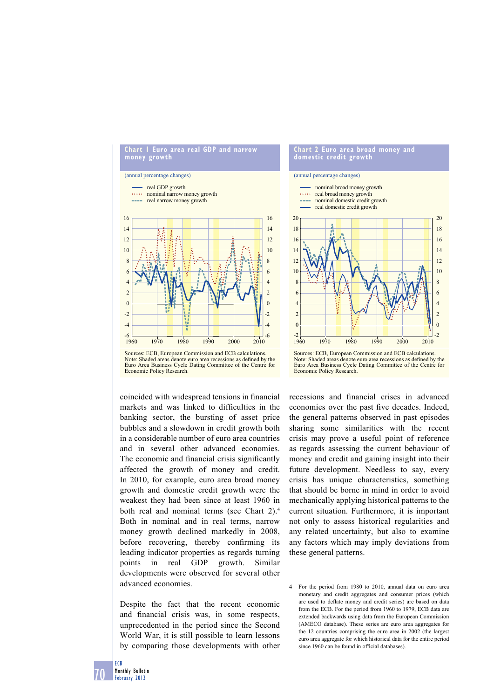



coincided with widespread tensions in financial markets and was linked to difficulties in the banking sector, the bursting of asset price bubbles and a slowdown in credit growth both in a considerable number of euro area countries and in several other advanced economies. The economic and financial crisis significantly affected the growth of money and credit. In 2010, for example, euro area broad money growth and domestic credit growth were the weakest they had been since at least 1960 in both real and nominal terms (see Chart 2).<sup>4</sup> Both in nominal and in real terms, narrow money growth declined markedly in 2008, before recovering, thereby confirming its leading indicator properties as regards turning points in real GDP growth. Similar developments were observed for several other advanced economies.

Despite the fact that the recent economic and financial crisis was, in some respects, unprecedented in the period since the Second World War, it is still possible to learn lessons by comparing those developments with other

#### **Chart 2 Euro area broad money and domestic credit growth**





recessions and financial crises in advanced economies over the past five decades. Indeed, the general patterns observed in past episodes sharing some similarities with the recent crisis may prove a useful point of reference as regards assessing the current behaviour of money and credit and gaining insight into their future development. Needless to say, every crisis has unique characteristics, something that should be borne in mind in order to avoid mechanically applying historical patterns to the current situation. Furthermore, it is important not only to assess historical regularities and any related uncertainty, but also to examine any factors which may imply deviations from these general patterns.

<sup>4</sup> For the period from 1980 to 2010, annual data on euro area monetary and credit aggregates and consumer prices (which are used to deflate money and credit series) are based on data from the ECB. For the period from 1960 to 1979, ECB data are extended backwards using data from the European Commission (AMECO database). These series are euro area aggregates for the 12 countries comprising the euro area in 2002 (the largest euro area aggregate for which historical data for the entire period since 1960 can be found in official databases).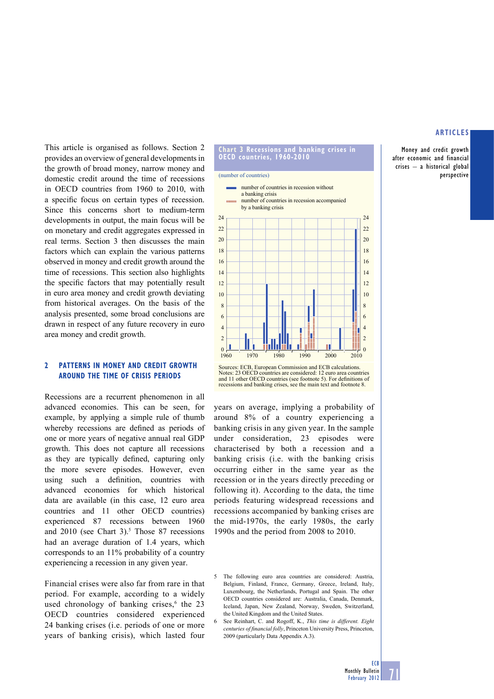Money and credit growth after economic and financial crises – a historical global perspective

This article is organised as follows. Section 2 provides an overview of general developments in the growth of broad money, narrow money and domestic credit around the time of recessions in OECD countries from 1960 to 2010, with a specific focus on certain types of recession. Since this concerns short to medium-term developments in output, the main focus will be on monetary and credit aggregates expressed in real terms. Section 3 then discusses the main factors which can explain the various patterns observed in money and credit growth around the time of recessions. This section also highlights the specific factors that may potentially result in euro area money and credit growth deviating from historical averages. On the basis of the analysis presented, some broad conclusions are drawn in respect of any future recovery in euro area money and credit growth.

#### **2 PATTERNS IN MONEY AND CREDIT GROWTH AROUND THE TIME OF CRISIS PERIODS**

Recessions are a recurrent phenomenon in all advanced economies. This can be seen, for example, by applying a simple rule of thumb whereby recessions are defined as periods of one or more years of negative annual real GDP growth. This does not capture all recessions as they are typically defined, capturing only the more severe episodes. However, even using such a definition, countries with advanced economies for which historical data are available (in this case, 12 euro area countries and 11 other OECD countries) experienced 87 recessions between 1960 and  $2010$  (see Chart 3).<sup>5</sup> Those 87 recessions had an average duration of 1.4 years, which corresponds to an 11% probability of a country experiencing a recession in any given year.

Financial crises were also far from rare in that period. For example, according to a widely used chronology of banking crises, $6$  the 23 OECD countries considered experienced 24 banking crises (i.e. periods of one or more years of banking crisis), which lasted four



Sources: ECB, European Commission and ECB calculations. Notes: 23 OECD countries are considered: 12 euro area countries and 11 other OECD countries (see footnote 5). For definitions of recessions and banking crises, see the main text and footnote 8.

years on average, implying a probability of around 8% of a country experiencing a banking crisis in any given year. In the sample under consideration, 23 episodes were characterised by both a recession and a banking crisis (i.e. with the banking crisis occurring either in the same year as the recession or in the years directly preceding or following it). According to the data, the time periods featuring widespread recessions and recessions accompanied by banking crises are the mid-1970s, the early 1980s, the early 1990s and the period from 2008 to 2010.

<sup>5</sup> The following euro area countries are considered: Austria, Belgium, Finland, France, Germany, Greece, Ireland, Italy, Luxembourg, the Netherlands, Portugal and Spain. The other OECD countries considered are: Australia, Canada, Denmark, Iceland, Japan, New Zealand, Norway, Sweden, Switzerland, the United Kingdom and the United States.

<sup>6</sup> See Reinhart, C. and Rogoff, K., *This time is different. Eight centuries of financial folly*, Princeton University Press, Princeton, 2009 (particularly Data Appendix A.3).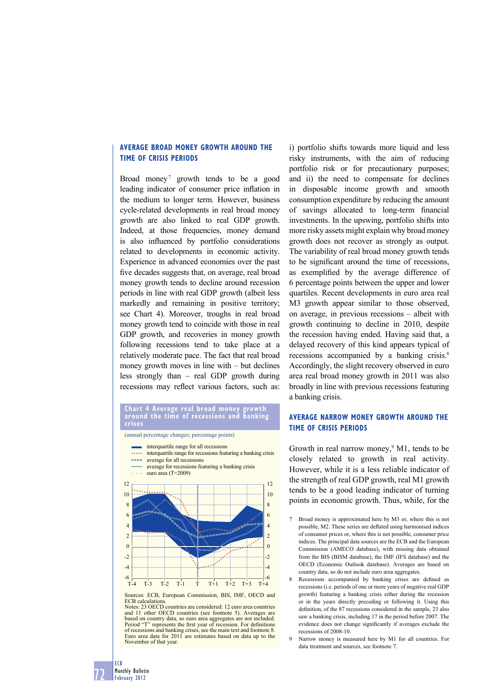## **AVERAGE BROAD MONEY GROWTH AROUND THE TIME OF CRISIS PERIODS**

Broad money<sup>7</sup> growth tends to be a good leading indicator of consumer price inflation in the medium to longer term. However, business cycle-related developments in real broad money growth are also linked to real GDP growth. Indeed, at those frequencies, money demand is also influenced by portfolio considerations related to developments in economic activity. Experience in advanced economies over the past five decades suggests that, on average, real broad money growth tends to decline around recession periods in line with real GDP growth (albeit less markedly and remaining in positive territory; see Chart 4). Moreover, troughs in real broad money growth tend to coincide with those in real GDP growth, and recoveries in money growth following recessions tend to take place at a relatively moderate pace. The fact that real broad money growth moves in line with – but declines less strongly than – real GDP growth during recessions may reflect various factors, such as:

#### **Chart 4 Average real broad money growth around the time of recessions and banking crises**





- average for recessions featuring a banking crisis **ALLET** average for all recessions
- euro area (T=2009)



Sources: ECB, European Commission, BIS, IMF, OECD and ECB calculations. Notes: 23 OECD countries are considered: 12 euro area countries

and 11 other OECD countries (see footnote 5). Averages are based on country data, so euro area aggregates are not included.<br>Period "T" represents the first year of recession. For definitions of recessions and banking crises, see the main text and footnote 8. Euro area data for 2011 are estimates based on data up to the November of that year.

i) portfolio shifts towards more liquid and less risky instruments, with the aim of reducing portfolio risk or for precautionary purposes; and ii) the need to compensate for declines in disposable income growth and smooth consumption expenditure by reducing the amount of savings allocated to long-term financial investments. In the upswing, portfolio shifts into more risky assets might explain why broad money growth does not recover as strongly as output. The variability of real broad money growth tends to be significant around the time of recessions, as exemplified by the average difference of 6 percentage points between the upper and lower quartiles. Recent developments in euro area real M3 growth appear similar to those observed, on average, in previous recessions – albeit with growth continuing to decline in 2010, despite the recession having ended. Having said that, a delayed recovery of this kind appears typical of recessions accompanied by a banking crisis.<sup>8</sup> Accordingly, the slight recovery observed in euro area real broad money growth in 2011 was also broadly in line with previous recessions featuring a banking crisis.

# **AVERAGE NARROW MONEY GROWTH AROUND THE TIME OF CRISIS PERIODS**

Growth in real narrow money, $9$  M1, tends to be closely related to growth in real activity. However, while it is a less reliable indicator of the strength of real GDP growth, real M1 growth tends to be a good leading indicator of turning points in economic growth. Thus, while, for the

- Broad money is approximated here by M3 or, where this is not possible, M2. These series are deflated using harmonised indices of consumer prices or, where this is not possible, consumer price indices. The principal data sources are the ECB and the European Commission (AMECO database), with missing data obtained from the BIS (BISM database), the IMF (IFS database) and the OECD (Economic Outlook database). Averages are based on country data, so do not include euro area aggregates.
- 8 Recessions accompanied by banking crises are defined as recessions (i.e. periods of one or more years of negative real GDP growth) featuring a banking crisis either during the recession or in the years directly preceding or following it. Using this definition, of the 87 recessions considered in the sample, 23 also saw a banking crisis, including 17 in the period before 2007. The evidence does not change significantly if averages exclude the recessions of 2008-10.
- Narrow money is measured here by M1 for all countries. For data treatment and sources, see footnote 7.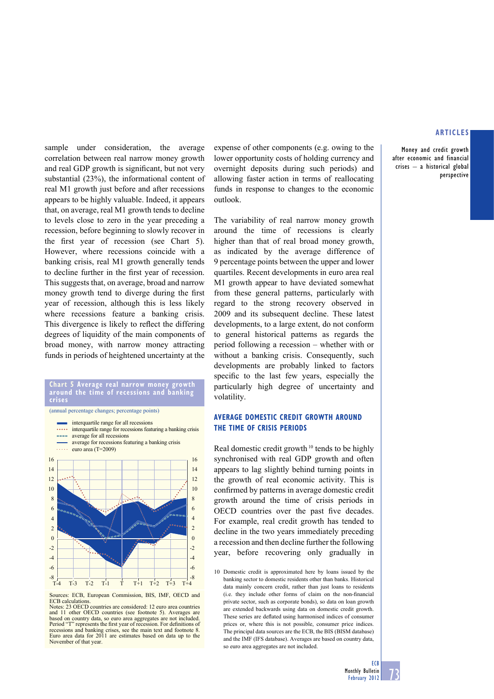Money and credit growth after economic and financial crises – a historical global perspective

sample under consideration, the average correlation between real narrow money growth and real GDP growth is significant, but not very substantial (23%), the informational content of real M1 growth just before and after recessions appears to be highly valuable. Indeed, it appears that, on average, real M1 growth tends to decline to levels close to zero in the year preceding a recession, before beginning to slowly recover in the first year of recession (see Chart  $5$ ). However, where recessions coincide with a banking crisis, real M1 growth generally tends to decline further in the first year of recession. This suggests that, on average, broad and narrow money growth tend to diverge during the first year of recession, although this is less likely where recessions feature a banking crisis. This divergence is likely to reflect the differing degrees of liquidity of the main components of broad money, with narrow money attracting funds in periods of heightened uncertainty at the

# **Chart 5 Average real narrow money growth around the time of recessions and banking**

(annual percentage changes; percentage points)



Sources: ECB, European Commission, BIS, IMF, OECD and ECB calculations. Notes: 23 OECD countries are considered: 12 euro area countries

and 11 other OECD countries (see footnote 5). Averages are based on country data, so euro area aggregates are not included.<br>Period "T" represents the first year of recession. For definitions of recessions and banking crises, see the main text and footnote 8. Euro area data for 2011 are estimates based on data up to the November of that year.

expense of other components (e.g. owing to the lower opportunity costs of holding currency and overnight deposits during such periods) and allowing faster action in terms of reallocating funds in response to changes to the economic outlook.

The variability of real narrow money growth around the time of recessions is clearly higher than that of real broad money growth, as indicated by the average difference of 9 percentage points between the upper and lower quartiles. Recent developments in euro area real M1 growth appear to have deviated somewhat from these general patterns, particularly with regard to the strong recovery observed in 2009 and its subsequent decline. These latest developments, to a large extent, do not conform to general historical patterns as regards the period following a recession – whether with or without a banking crisis. Consequently, such developments are probably linked to factors specific to the last few years, especially the particularly high degree of uncertainty and volatility.

## **AVERAGE DOMESTIC CREDIT GROWTH AROUND THE TIME OF CRISIS PERIODS**

Real domestic credit growth<sup>10</sup> tends to be highly synchronised with real GDP growth and often appears to lag slightly behind turning points in the growth of real economic activity. This is confirmed by patterns in average domestic credit growth around the time of crisis periods in OECD countries over the past five decades. For example, real credit growth has tended to decline in the two years immediately preceding a recession and then decline further the following year, before recovering only gradually in

10 Domestic credit is approximated here by loans issued by the banking sector to domestic residents other than banks. Historical data mainly concern credit, rather than just loans to residents (i.e. they include other forms of claim on the non-financial private sector, such as corporate bonds), so data on loan growth are extended backwards using data on domestic credit growth. These series are deflated using harmonised indices of consumer prices or, where this is not possible, consumer price indices. The principal data sources are the ECB, the BIS (BISM database) and the IMF (IFS database). Averages are based on country data, so euro area aggregates are not included.

**ECB**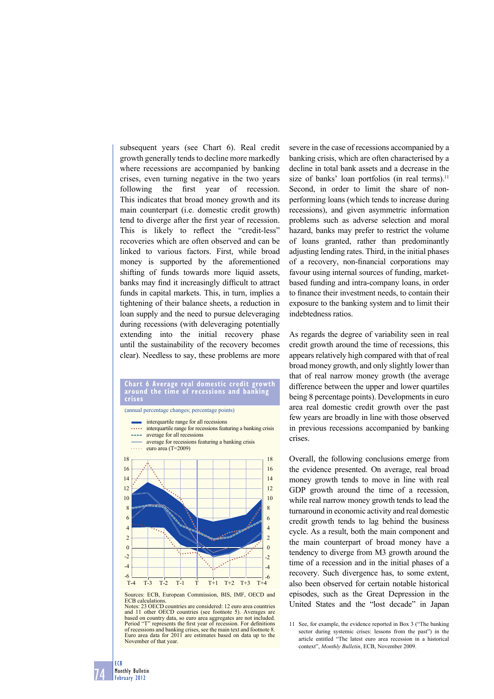subsequent years (see Chart 6). Real credit growth generally tends to decline more markedly where recessions are accompanied by banking crises, even turning negative in the two years following the first year of recession. This indicates that broad money growth and its main counterpart (i.e. domestic credit growth) tend to diverge after the first year of recession. This is likely to reflect the "credit-less" recoveries which are often observed and can be linked to various factors. First, while broad money is supported by the aforementioned shifting of funds towards more liquid assets, banks may find it increasingly difficult to attract funds in capital markets. This, in turn, implies a tightening of their balance sheets, a reduction in loan supply and the need to pursue deleveraging during recessions (with deleveraging potentially extending into the initial recovery phase until the sustainability of the recovery becomes clear). Needless to say, these problems are more

# **Chart 6 Average real domestic credit growth around the time of recessions and banking**

(annual percentage changes; percentage points)



Sources: ECB, European Commission, BIS, IMF, OECD and ECB calculations. Notes: 23 OECD countries are considered: 12 euro area countries

and 11 other OECD countries (see footnote 5). Averages are based on country data, so euro area aggregates are not included.<br>Period "T" represents the first year of recession. For definitions of recessions and banking crises, see the main text and footnote 8. Euro area data for 2011 are estimates based on data up to the November of that year.

severe in the case of recessions accompanied by a banking crisis, which are often characterised by a decline in total bank assets and a decrease in the size of banks' loan portfolios (in real terms).<sup>11</sup> Second, in order to limit the share of nonperforming loans (which tends to increase during recessions), and given asymmetric information problems such as adverse selection and moral hazard, banks may prefer to restrict the volume of loans granted, rather than predominantly adjusting lending rates. Third, in the initial phases of a recovery, non-financial corporations may favour using internal sources of funding, marketbased funding and intra-company loans, in order to finance their investment needs, to contain their exposure to the banking system and to limit their indebtedness ratios.

As regards the degree of variability seen in real credit growth around the time of recessions, this appears relatively high compared with that of real broad money growth, and only slightly lower than that of real narrow money growth (the average difference between the upper and lower quartiles being 8 percentage points). Developments in euro area real domestic credit growth over the past few years are broadly in line with those observed in previous recessions accompanied by banking crises.

Overall, the following conclusions emerge from the evidence presented. On average, real broad money growth tends to move in line with real GDP growth around the time of a recession, while real narrow money growth tends to lead the turnaround in economic activity and real domestic credit growth tends to lag behind the business cycle. As a result, both the main component and the main counterpart of broad money have a tendency to diverge from M3 growth around the time of a recession and in the initial phases of a recovery. Such divergence has, to some extent, also been observed for certain notable historical episodes, such as the Great Depression in the United States and the "lost decade" in Japan

<sup>11</sup> See, for example, the evidence reported in Box 3 ("The banking sector during systemic crises: lessons from the past") in the article entitled "The latest euro area recession in a historical context", *Monthly Bulletin*, ECB, November 2009.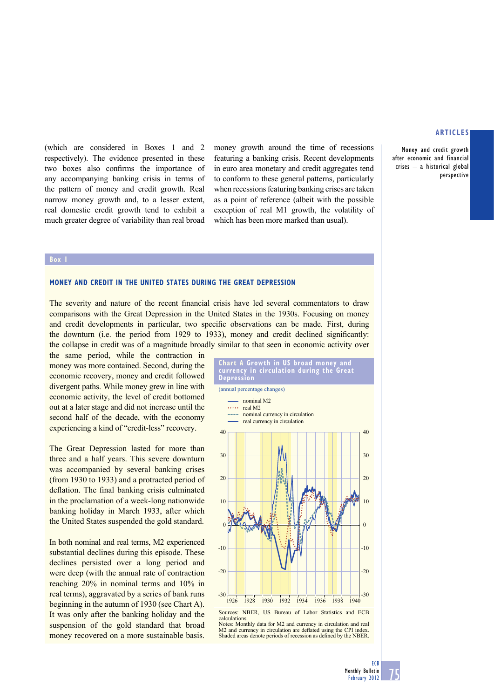Money and credit growth after economic and financial crises – a historical global perspective

(which are considered in Boxes 1 and 2 respectively). The evidence presented in these two boxes also confirms the importance of any accompanying banking crisis in terms of the pattern of money and credit growth. Real narrow money growth and, to a lesser extent, real domestic credit growth tend to exhibit a much greater degree of variability than real broad

money growth around the time of recessions featuring a banking crisis. Recent developments in euro area monetary and credit aggregates tend to conform to these general patterns, particularly when recessions featuring banking crises are taken as a point of reference (albeit with the possible exception of real M1 growth, the volatility of which has been more marked than usual).

#### **Box 1**

## **MONEY AND CREDIT IN THE UNITED STATES DURING THE GREAT DEPRESSION**

The severity and nature of the recent financial crisis have led several commentators to draw comparisons with the Great Depression in the United States in the 1930s. Focusing on money and credit developments in particular, two specific observations can be made. First, during the downturn (i.e. the period from 1929 to 1933), money and credit declined significantly: the collapse in credit was of a magnitude broadly similar to that seen in economic activity over

the same period, while the contraction in money was more contained. Second, during the economic recovery, money and credit followed divergent paths. While money grew in line with economic activity, the level of credit bottomed out at a later stage and did not increase until the second half of the decade, with the economy experiencing a kind of "credit-less" recovery.

The Great Depression lasted for more than three and a half years. This severe downturn was accompanied by several banking crises (from 1930 to 1933) and a protracted period of deflation. The final banking crisis culminated in the proclamation of a week-long nationwide banking holiday in March 1933, after which the United States suspended the gold standard.

In both nominal and real terms, M2 experienced substantial declines during this episode. These declines persisted over a long period and were deep (with the annual rate of contraction reaching 20% in nominal terms and 10% in real terms), aggravated by a series of bank runs beginning in the autumn of 1930 (see Chart A). It was only after the banking holiday and the suspension of the gold standard that broad money recovered on a more sustainable basis.

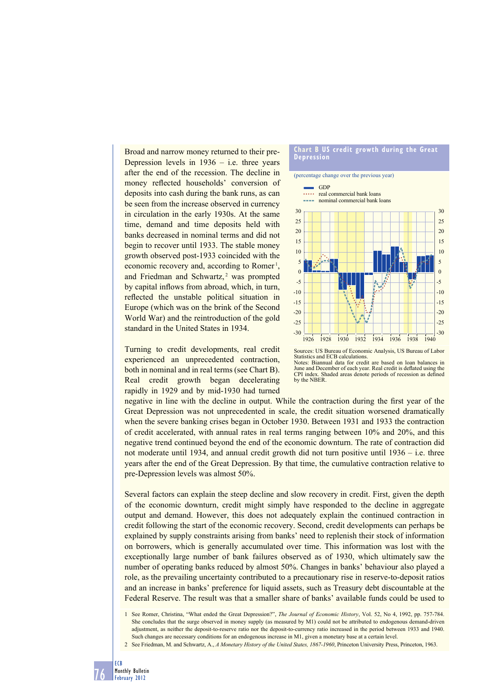Broad and narrow money returned to their pre-Depression levels in  $1936 - i.e.$  three years after the end of the recession. The decline in money reflected households' conversion of deposits into cash during the bank runs, as can be seen from the increase observed in currency in circulation in the early 1930s. At the same time, demand and time deposits held with banks decreased in nominal terms and did not begin to recover until 1933. The stable money growth observed post-1933 coincided with the economic recovery and, according to Romer<sup>1</sup>, and Friedman and Schwartz,<sup>2</sup> was prompted by capital inflows from abroad, which, in turn, reflected the unstable political situation in Europe (which was on the brink of the Second World War) and the reintroduction of the gold standard in the United States in 1934.

Turning to credit developments, real credit experienced an unprecedented contraction, both in nominal and in real terms (see Chart B). Real credit growth began decelerating rapidly in 1929 and by mid-1930 had turned



Sources: US Bureau of Economic Analysis, US Bureau of Labor Statistics and ECB calculations. Notes: Biannual data for credit are based on loan balances in June and December of each year. Real credit is deflated using the CPI index. Shaded areas denote periods of recession as defined by the NBER

negative in line with the decline in output. While the contraction during the first year of the Great Depression was not unprecedented in scale, the credit situation worsened dramatically when the severe banking crises began in October 1930. Between 1931 and 1933 the contraction of credit accelerated, with annual rates in real terms ranging between 10% and 20%, and this negative trend continued beyond the end of the economic downturn. The rate of contraction did not moderate until 1934, and annual credit growth did not turn positive until 1936 – i.e. three years after the end of the Great Depression. By that time, the cumulative contraction relative to pre-Depression levels was almost 50%.

Several factors can explain the steep decline and slow recovery in credit. First, given the depth of the economic downturn, credit might simply have responded to the decline in aggregate output and demand. However, this does not adequately explain the continued contraction in credit following the start of the economic recovery. Second, credit developments can perhaps be explained by supply constraints arising from banks' need to replenish their stock of information on borrowers, which is generally accumulated over time. This information was lost with the exceptionally large number of bank failures observed as of 1930, which ultimately saw the number of operating banks reduced by almost 50%. Changes in banks' behaviour also played a role, as the prevailing uncertainty contributed to a precautionary rise in reserve-to-deposit ratios and an increase in banks' preference for liquid assets, such as Treasury debt discountable at the Federal Reserve. The result was that a smaller share of banks' available funds could be used to

<sup>1</sup> See Romer, Christina, "What ended the Great Depression?", *The Journal of Economic History*, Vol. 52, No 4, 1992, pp. 757-784. She concludes that the surge observed in money supply (as measured by M1) could not be attributed to endogenous demand-driven adjustment, as neither the deposit-to-reserve ratio nor the deposit-to-currency ratio increased in the period between 1933 and 1940. Such changes are necessary conditions for an endogenous increase in M1, given a monetary base at a certain level.

<sup>2</sup> See Friedman, M. and Schwartz, A., *A Monetary History of the United States, 1867-1960*, Princeton University Press, Princeton, 1963.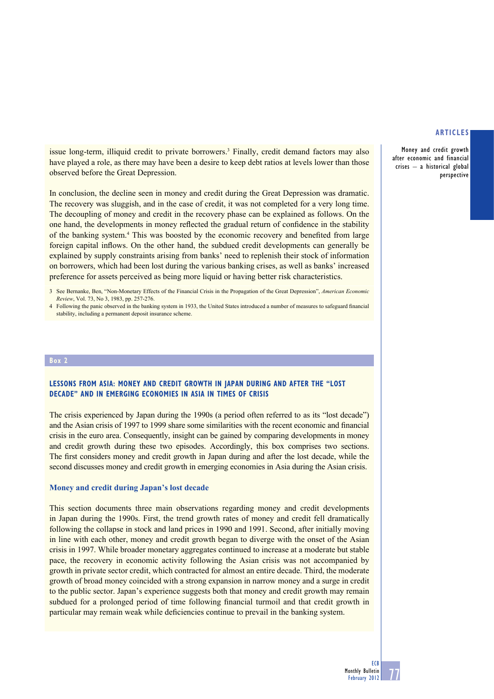Money and credit growth after economic and financial crises – a historical global perspective

issue long-term, illiquid credit to private borrowers.<sup>3</sup> Finally, credit demand factors may also have played a role, as there may have been a desire to keep debt ratios at levels lower than those observed before the Great Depression.

In conclusion, the decline seen in money and credit during the Great Depression was dramatic. The recovery was sluggish, and in the case of credit, it was not completed for a very long time. The decoupling of money and credit in the recovery phase can be explained as follows. On the one hand, the developments in money reflected the gradual return of confidence in the stability of the banking system.<sup>4</sup> This was boosted by the economic recovery and benefited from large foreign capital inflows. On the other hand, the subdued credit developments can generally be explained by supply constraints arising from banks' need to replenish their stock of information on borrowers, which had been lost during the various banking crises, as well as banks' increased preference for assets perceived as being more liquid or having better risk characteristics.

#### **Box 2**

## **LESSONS FROM ASIA: MONEY AND CREDIT GROWTH IN JAPAN DURING AND AFTER THE "LOST DECADE" AND IN EMERGING ECONOMIES IN ASIA IN TIMES OF CRISIS**

The crisis experienced by Japan during the 1990s (a period often referred to as its "lost decade") and the Asian crisis of 1997 to 1999 share some similarities with the recent economic and financial crisis in the euro area. Consequently, insight can be gained by comparing developments in money and credit growth during these two episodes. Accordingly, this box comprises two sections. The first considers money and credit growth in Japan during and after the lost decade, while the second discusses money and credit growth in emerging economies in Asia during the Asian crisis.

### **Money and credit during Japan's lost decade**

This section documents three main observations regarding money and credit developments in Japan during the 1990s. First, the trend growth rates of money and credit fell dramatically following the collapse in stock and land prices in 1990 and 1991. Second, after initially moving in line with each other, money and credit growth began to diverge with the onset of the Asian crisis in 1997. While broader monetary aggregates continued to increase at a moderate but stable pace, the recovery in economic activity following the Asian crisis was not accompanied by growth in private sector credit, which contracted for almost an entire decade. Third, the moderate growth of broad money coincided with a strong expansion in narrow money and a surge in credit to the public sector. Japan's experience suggests both that money and credit growth may remain subdued for a prolonged period of time following financial turmoil and that credit growth in particular may remain weak while deficiencies continue to prevail in the banking system.

<sup>3</sup> See Bernanke, Ben, "Non-Monetary Effects of the Financial Crisis in the Propagation of the Great Depression", *American Economic Review*, Vol. 73, No 3, 1983, pp. 257-276.

<sup>4</sup> Following the panic observed in the banking system in 1933, the United States introduced a number of measures to safeguard financial stability, including a permanent deposit insurance scheme.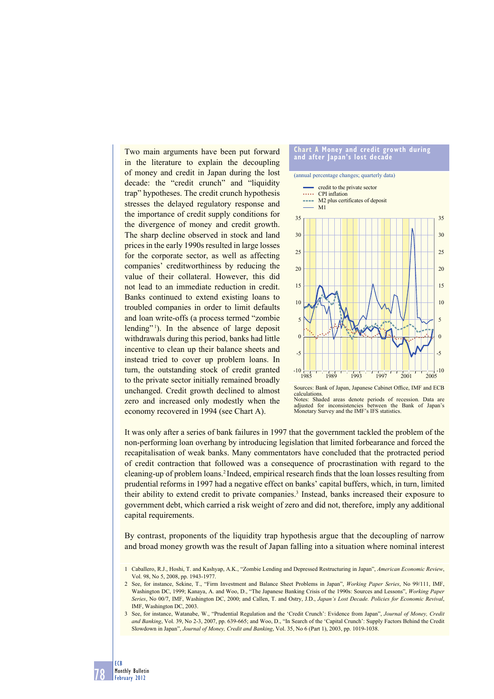Two main arguments have been put forward in the literature to explain the decoupling of money and credit in Japan during the lost decade: the "credit crunch" and "liquidity trap" hypotheses. The credit crunch hypothesis stresses the delayed regulatory response and the importance of credit supply conditions for the divergence of money and credit growth. The sharp decline observed in stock and land prices in the early 1990s resulted in large losses for the corporate sector, as well as affecting companies' creditworthiness by reducing the value of their collateral. However, this did not lead to an immediate reduction in credit. Banks continued to extend existing loans to troubled companies in order to limit defaults and loan write-offs (a process termed "zombie lending"<sup>1</sup>). In the absence of large deposit withdrawals during this period, banks had little incentive to clean up their balance sheets and instead tried to cover up problem loans. In turn, the outstanding stock of credit granted to the private sector initially remained broadly unchanged. Credit growth declined to almost zero and increased only modestly when the economy recovered in 1994 (see Chart A).



Notes: Shaded areas denote periods of recession. Data are adjusted for inconsistencies between the Bank of Japan's Monetary Survey and the IMF's IFS statistics.

It was only after a series of bank failures in 1997 that the government tackled the problem of the non-performing loan overhang by introducing legislation that limited forbearance and forced the recapitalisation of weak banks. Many commentators have concluded that the protracted period of credit contraction that followed was a consequence of procrastination with regard to the cleaning-up of problem loans.<sup>2</sup> Indeed, empirical research finds that the loan losses resulting from prudential reforms in 1997 had a negative effect on banks' capital buffers, which, in turn, limited their ability to extend credit to private companies.<sup>3</sup> Instead, banks increased their exposure to government debt, which carried a risk weight of zero and did not, therefore, imply any additional capital requirements.

By contrast, proponents of the liquidity trap hypothesis argue that the decoupling of narrow and broad money growth was the result of Japan falling into a situation where nominal interest

<sup>3</sup> See, for instance, Watanabe, W., "Prudential Regulation and the 'Credit Crunch': Evidence from Japan", *Journal of Money, Credit and Banking*, Vol. 39, No 2-3, 2007, pp. 639-665; and Woo, D., "In Search of the 'Capital Crunch': Supply Factors Behind the Credit Slowdown in Japan", *Journal of Money, Credit and Banking*, Vol. 35, No 6 (Part 1), 2003, pp. 1019-1038.



<sup>1</sup> Caballero, R.J., Hoshi, T. and Kashyap, A.K., "Zombie Lending and Depressed Restructuring in Japan", *American Economic Review*, Vol. 98, No 5, 2008, pp. 1943-1977.

<sup>2</sup> See, for instance, Sekine, T., "Firm Investment and Balance Sheet Problems in Japan", *Working Paper Series*, No 99/111, IMF, Washington DC, 1999; Kanaya, A. and Woo, D., "The Japanese Banking Crisis of the 1990s: Sources and Lessons", *Working Paper Series*, No 00/7, IMF, Washington DC, 2000; and Callen, T. and Ostry, J.D., *Japan's Lost Decade. Policies for Economic Revival*, IMF, Washington DC, 2003.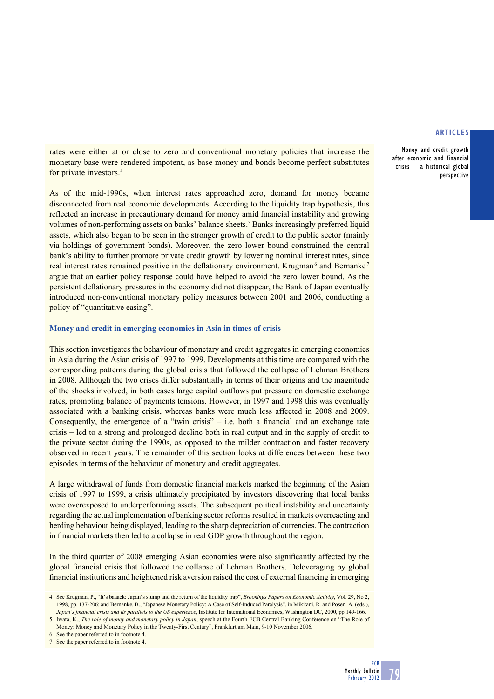Money and credit growth after economic and financial crises – a historical global perspective

rates were either at or close to zero and conventional monetary policies that increase the monetary base were rendered impotent, as base money and bonds become perfect substitutes for private investors.4

As of the mid-1990s, when interest rates approached zero, demand for money became disconnected from real economic developments. According to the liquidity trap hypothesis, this reflected an increase in precautionary demand for money amid financial instability and growing volumes of non-performing assets on banks' balance sheets.<sup>5</sup> Banks increasingly preferred liquid assets, which also began to be seen in the stronger growth of credit to the public sector (mainly via holdings of government bonds). Moreover, the zero lower bound constrained the central bank's ability to further promote private credit growth by lowering nominal interest rates, since real interest rates remained positive in the deflationary environment. Krugman<sup>6</sup> and Bernanke<sup>7</sup> argue that an earlier policy response could have helped to avoid the zero lower bound. As the persistent deflationary pressures in the economy did not disappear, the Bank of Japan eventually introduced non-conventional monetary policy measures between 2001 and 2006, conducting a policy of "quantitative easing".

## **Money and credit in emerging economies in Asia in times of crisis**

This section investigates the behaviour of monetary and credit aggregates in emerging economies in Asia during the Asian crisis of 1997 to 1999. Developments at this time are compared with the corresponding patterns during the global crisis that followed the collapse of Lehman Brothers in 2008. Although the two crises differ substantially in terms of their origins and the magnitude of the shocks involved, in both cases large capital outflows put pressure on domestic exchange rates, prompting balance of payments tensions. However, in 1997 and 1998 this was eventually associated with a banking crisis, whereas banks were much less affected in 2008 and 2009. Consequently, the emergence of a "twin crisis"  $-$  i.e. both a financial and an exchange rate crisis – led to a strong and prolonged decline both in real output and in the supply of credit to the private sector during the 1990s, as opposed to the milder contraction and faster recovery observed in recent years. The remainder of this section looks at differences between these two episodes in terms of the behaviour of monetary and credit aggregates.

A large withdrawal of funds from domestic financial markets marked the beginning of the Asian crisis of 1997 to 1999, a crisis ultimately precipitated by investors discovering that local banks were overexposed to underperforming assets. The subsequent political instability and uncertainty regarding the actual implementation of banking sector reforms resulted in markets overreacting and herding behaviour being displayed, leading to the sharp depreciation of currencies. The contraction in financial markets then led to a collapse in real GDP growth throughout the region.

In the third quarter of 2008 emerging Asian economies were also significantly affected by the global financial crisis that followed the collapse of Lehman Brothers. Deleveraging by global financial institutions and heightened risk aversion raised the cost of external financing in emerging

5 Iwata, K., *The role of money and monetary policy in Japan*, speech at the Fourth ECB Central Banking Conference on "The Role of Money: Money and Monetary Policy in the Twenty-First Century", Frankfurt am Main, 9-10 November 2006.

6 See the paper referred to in footnote 4.

7 See the paper referred to in footnote 4.

<sup>4</sup> See Krugman, P., "It's baaack: Japan's slump and the return of the liquidity trap", *Brookings Papers on Economic Activity*, Vol. 29, No 2, 1998, pp. 137-206; and Bernanke, B., "Japanese Monetary Policy: A Case of Self-Induced Paralysis", in Mikitani, R. and Posen. A. (eds.), *Japan's fi nancial crisis and its parallels to the US experience*, Institute for International Economics, Washington DC, 2000, pp.149-166.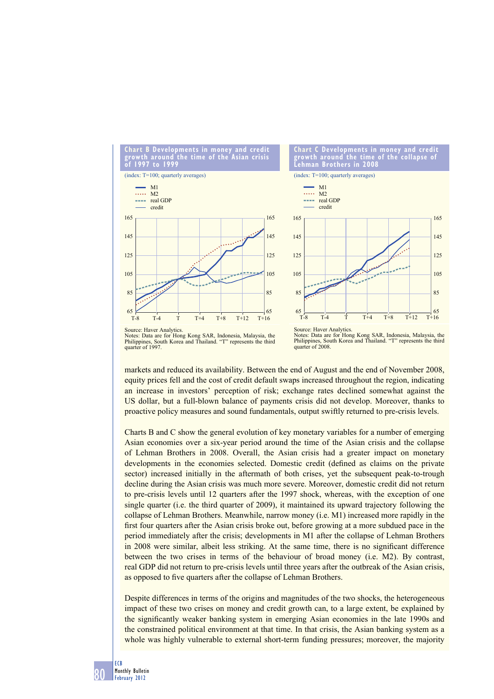

Notes: Data are for Hong Kong SAR, Indonesia, Malaysia, the Philippines, South Korea and Thailand. "T" represents the third quarter of 1997

Notes: Data are for Hong Kong SAR, Indonesia, Malaysia, the Philippines, South Korea and Thailand. "T" represents the third quarter of 2008.

markets and reduced its availability. Between the end of August and the end of November 2008, equity prices fell and the cost of credit default swaps increased throughout the region, indicating an increase in investors' perception of risk; exchange rates declined somewhat against the US dollar, but a full-blown balance of payments crisis did not develop. Moreover, thanks to proactive policy measures and sound fundamentals, output swiftly returned to pre-crisis levels.

Charts B and C show the general evolution of key monetary variables for a number of emerging Asian economies over a six-year period around the time of the Asian crisis and the collapse of Lehman Brothers in 2008. Overall, the Asian crisis had a greater impact on monetary developments in the economies selected. Domestic credit (defined as claims on the private sector) increased initially in the aftermath of both crises, yet the subsequent peak-to-trough decline during the Asian crisis was much more severe. Moreover, domestic credit did not return to pre-crisis levels until 12 quarters after the 1997 shock, whereas, with the exception of one single quarter (i.e. the third quarter of 2009), it maintained its upward trajectory following the collapse of Lehman Brothers. Meanwhile, narrow money (i.e. M1) increased more rapidly in the first four quarters after the Asian crisis broke out, before growing at a more subdued pace in the period immediately after the crisis; developments in M1 after the collapse of Lehman Brothers in 2008 were similar, albeit less striking. At the same time, there is no significant difference between the two crises in terms of the behaviour of broad money (i.e. M2). By contrast, real GDP did not return to pre-crisis levels until three years after the outbreak of the Asian crisis, as opposed to five quarters after the collapse of Lehman Brothers.

Despite differences in terms of the origins and magnitudes of the two shocks, the heterogeneous impact of these two crises on money and credit growth can, to a large extent, be explained by the significantly weaker banking system in emerging Asian economies in the late 1990s and the constrained political environment at that time. In that crisis, the Asian banking system as a whole was highly vulnerable to external short-term funding pressures; moreover, the majority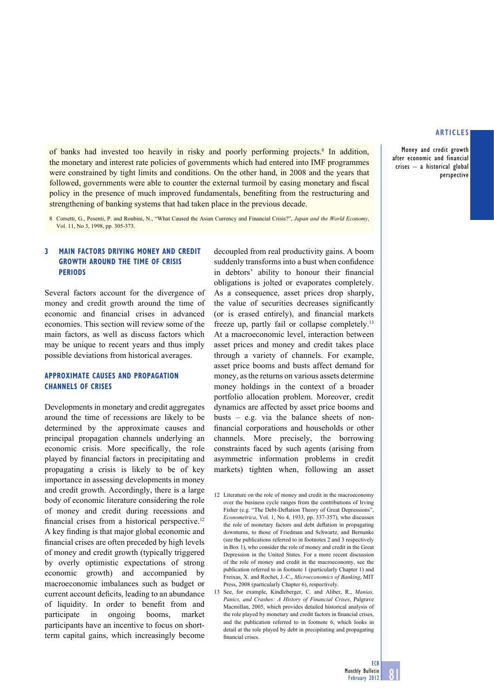Money and credit growth after economic and financial crises – a historical global perspective

of banks had invested too heavily in risky and poorly performing projects.<sup>8</sup> In addition, the monetary and interest rate policies of governments which had entered into IMF programmes were constrained by tight limits and conditions. On the other hand, in 2008 and the years that followed, governments were able to counter the external turmoil by easing monetary and fiscal policy in the presence of much improved fundamentals, benefiting from the restructuring and strengthening of banking systems that had taken place in the previous decade.

8 Corsetti, G., Pesenti, P. and Roubini, N., "What Caused the Asian Currency and Financial Crisis?", *Japan and the World Economy*, Vol. 11, No 3, 1998, pp. 305-373.

## **3 MAIN FACTORS DRIVING MONEY AND CREDIT GROWTH AROUND THE TIME OF CRISIS PERIODS**

Several factors account for the divergence of money and credit growth around the time of economic and financial crises in advanced economies. This section will review some of the main factors, as well as discuss factors which may be unique to recent years and thus imply possible deviations from historical averages.

## **APPROXIMATE CAUSES AND PROPAGATION CHANNELS OF CRISES**

Developments in monetary and credit aggregates around the time of recessions are likely to be determined by the approximate causes and principal propagation channels underlying an economic crisis. More specifically, the role played by financial factors in precipitating and propagating a crisis is likely to be of key importance in assessing developments in money and credit growth. Accordingly, there is a large body of economic literature considering the role of money and credit during recessions and financial crises from a historical perspective.<sup>12</sup> A key finding is that major global economic and financial crises are often preceded by high levels of money and credit growth (typically triggered by overly optimistic expectations of strong economic growth) and accompanied by macroeconomic imbalances such as budget or current account deficits, leading to an abundance of liquidity. In order to benefit from and participate in ongoing booms, market participants have an incentive to focus on shortterm capital gains, which increasingly become

decoupled from real productivity gains. A boom suddenly transforms into a bust when confidence in debtors' ability to honour their financial obligations is jolted or evaporates completely. As a consequence, asset prices drop sharply, the value of securities decreases significantly (or is erased entirely), and financial markets freeze up, partly fail or collapse completely.13 At a macroeconomic level, interaction between asset prices and money and credit takes place through a variety of channels. For example, asset price booms and busts affect demand for money, as the returns on various assets determine money holdings in the context of a broader portfolio allocation problem. Moreover, credit dynamics are affected by asset price booms and busts – e.g. via the balance sheets of nonfinancial corporations and households or other channels. More precisely, the borrowing constraints faced by such agents (arising from asymmetric information problems in credit markets) tighten when, following an asset

12 Literature on the role of money and credit in the macroeconomy over the business cycle ranges from the contributions of Irving Fisher (e.g. "The Debt-Deflation Theory of Great Depressions", *Econometrica*, Vol. 1, No 4, 1933, pp. 337-357), who discusses the role of monetary factors and debt deflation in propagating downturns, to those of Friedman and Schwartz, and Bernanke (see the publications referred to in footnotes 2 and 3 respectively in Box 1), who consider the role of money and credit in the Great Depression in the United States. For a more recent discussion of the role of money and credit in the macroeconomy, see the publication referred to in footnote 1 (particularly Chapter 1) and Freixas, X. and Rochet, J.-C., *Microeconomics of Banking*, MIT Press, 2008 (particularly Chapter 6), respectively.

13 See, for example, Kindleberger, C. and Aliber, R., *Manias, Panics, and Crashes: A History of Financial Crises*, Palgrave Macmillan, 2005, which provides detailed historical analysis of the role played by monetary and credit factors in financial crises, and the publication referred to in footnote 6, which looks in detail at the role played by debt in precipitating and propagating financial crises.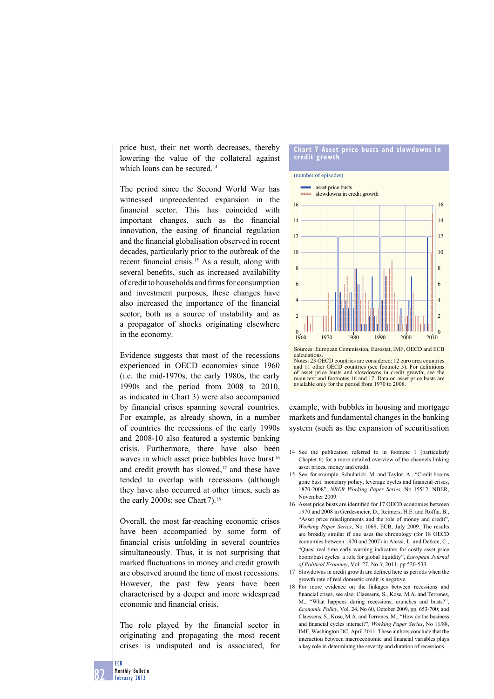price bust, their net worth decreases, thereby lowering the value of the collateral against which loans can be secured.<sup>14</sup>

The period since the Second World War has witnessed unprecedented expansion in the financial sector. This has coincided with important changes, such as the financial innovation, the easing of financial regulation and the financial globalisation observed in recent decades, particularly prior to the outbreak of the recent financial crisis.<sup>15</sup> As a result, along with several benefits, such as increased availability of credit to households and firms for consumption and investment purposes, these changes have also increased the importance of the financial sector, both as a source of instability and as a propagator of shocks originating elsewhere in the economy.

Evidence suggests that most of the recessions experienced in OECD economies since 1960 (i.e. the mid-1970s, the early 1980s, the early 1990s and the period from 2008 to 2010, as indicated in Chart 3) were also accompanied by financial crises spanning several countries. For example, as already shown, in a number of countries the recessions of the early 1990s and 2008-10 also featured a systemic banking crisis. Furthermore, there have also been waves in which asset price bubbles have burst<sup>16</sup> and credit growth has slowed, $17$  and these have tended to overlap with recessions (although they have also occurred at other times, such as the early 2000s; see Chart  $7^{18}$ .

Overall, the most far-reaching economic crises have been accompanied by some form of financial crisis unfolding in several countries simultaneously. Thus, it is not surprising that marked fluctuations in money and credit growth are observed around the time of most recessions. However, the past few years have been characterised by a deeper and more widespread economic and financial crisis.

The role played by the financial sector in originating and propagating the most recent crises is undisputed and is associated, for

#### **Chart 7 Asset price busts and slowdowns in credit growth**



Notes: 23 OECD countries are considered: 12 euro area countries and 11 other OECD countries (see footnote 5). For definitions of asset price busts and slowdowns in credit growth, see the main text and footnotes 16 and 17. Data on asset price busts are available only for the period from 1970 to 2008.

example, with bubbles in housing and mortgage markets and fundamental changes in the banking system (such as the expansion of securitisation

- 14 See the publication referred to in footnote 1 (particularly Chapter 6) for a more detailed overview of the channels linking asset prices, money and credit.
- 15 See, for example, Schularick, M. and Taylor, A., "Credit booms gone bust: monetary policy, leverage cycles and financial crises, 1870-2008", *NBER Working Paper Series,* No 15512, NBER, November 2009.
- 16 Asset price busts are identified for 17 OECD economies between 1970 and 2008 in Gerdesmeier, D., Reimers, H.E. and Roffia, B., "Asset price misalignments and the role of money and credit", *Working Paper Series*, No 1068, ECB, July 2009. The results are broadly similar if one uses the chronology (for 18 OECD economies between 1970 and 2007) in Alessi, L. and Detken, C., "Quasi real time early warning indicators for costly asset price boom/bust cycles: a role for global liquidity", *European Journal of Political Economy*, Vol. 27, No 3, 2011, pp.520-533.
- 17 Slowdowns in credit growth are defined here as periods when the growth rate of real domestic credit is negative.
- 18 For more evidence on the linkages between recessions and financial crises, see also: Claessens, S., Kose, M.A. and Terrones, M., "What happens during recessions, crunches and busts?" *Economic Policy*, Vol. 24, No 60, October 2009, pp. 653-700; and Claessens, S., Kose, M.A. and Terrones, M., "How do the business and financial cycles interact?", *Working Paper Series*, No 11/88, IMF, Washington DC, April 2011. These authors conclude that the interaction between macroeconomic and financial variables plays a key role in determining the severity and duration of recessions.

ECB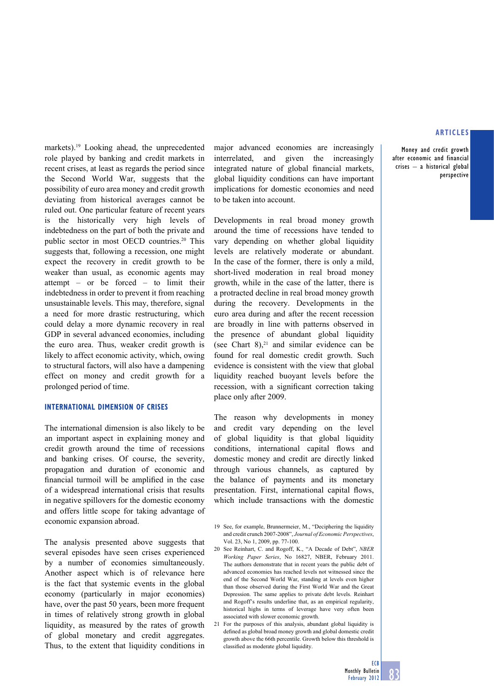Money and credit growth after economic and financial crises – a historical global perspective

markets).<sup>19</sup> Looking ahead, the unprecedented role played by banking and credit markets in recent crises, at least as regards the period since the Second World War, suggests that the possibility of euro area money and credit growth deviating from historical averages cannot be ruled out. One particular feature of recent years is the historically very high levels of indebtedness on the part of both the private and public sector in most OECD countries.20 This suggests that, following a recession, one might expect the recovery in credit growth to be weaker than usual, as economic agents may attempt – or be forced – to limit their indebtedness in order to prevent it from reaching unsustainable levels. This may, therefore, signal a need for more drastic restructuring, which could delay a more dynamic recovery in real GDP in several advanced economies, including the euro area. Thus, weaker credit growth is likely to affect economic activity, which, owing to structural factors, will also have a dampening effect on money and credit growth for a prolonged period of time.

## **INTERNATIONAL DIMENSION OF CRISES**

The international dimension is also likely to be an important aspect in explaining money and credit growth around the time of recessions and banking crises. Of course, the severity, propagation and duration of economic and financial turmoil will be amplified in the case of a widespread international crisis that results in negative spillovers for the domestic economy and offers little scope for taking advantage of economic expansion abroad.

The analysis presented above suggests that several episodes have seen crises experienced by a number of economies simultaneously. Another aspect which is of relevance here is the fact that systemic events in the global economy (particularly in major economies) have, over the past 50 years, been more frequent in times of relatively strong growth in global liquidity, as measured by the rates of growth of global monetary and credit aggregates. Thus, to the extent that liquidity conditions in major advanced economies are increasingly interrelated, and given the increasingly integrated nature of global financial markets, global liquidity conditions can have important implications for domestic economies and need to be taken into account.

Developments in real broad money growth around the time of recessions have tended to vary depending on whether global liquidity levels are relatively moderate or abundant. In the case of the former, there is only a mild, short-lived moderation in real broad money growth, while in the case of the latter, there is a protracted decline in real broad money growth during the recovery. Developments in the euro area during and after the recent recession are broadly in line with patterns observed in the presence of abundant global liquidity (see Chart  $8$ ),<sup>21</sup> and similar evidence can be found for real domestic credit growth. Such evidence is consistent with the view that global liquidity reached buoyant levels before the recession, with a significant correction taking place only after 2009.

The reason why developments in money and credit vary depending on the level of global liquidity is that global liquidity conditions, international capital flows and domestic money and credit are directly linked through various channels, as captured by the balance of payments and its monetary presentation. First, international capital flows, which include transactions with the domestic

- 20 See Reinhart, C. and Rogoff, K., "A Decade of Debt", *NBER Working Paper Series*, No 16827, NBER, February 2011. The authors demonstrate that in recent years the public debt of advanced economies has reached levels not witnessed since the end of the Second World War, standing at levels even higher than those observed during the First World War and the Great Depression. The same applies to private debt levels. Reinhart and Rogoff's results underline that, as an empirical regularity, historical highs in terms of leverage have very often been associated with slower economic growth.
- 21 For the purposes of this analysis, abundant global liquidity is defined as global broad money growth and global domestic credit growth above the 66th percentile. Growth below this threshold is classified as moderate global liquidity.

<sup>19</sup> See, for example, Brunnermeier, M., "Deciphering the liquidity and credit crunch 2007-2008", *Journal of Economic Perspectives*, Vol. 23, No 1, 2009, pp. 77-100.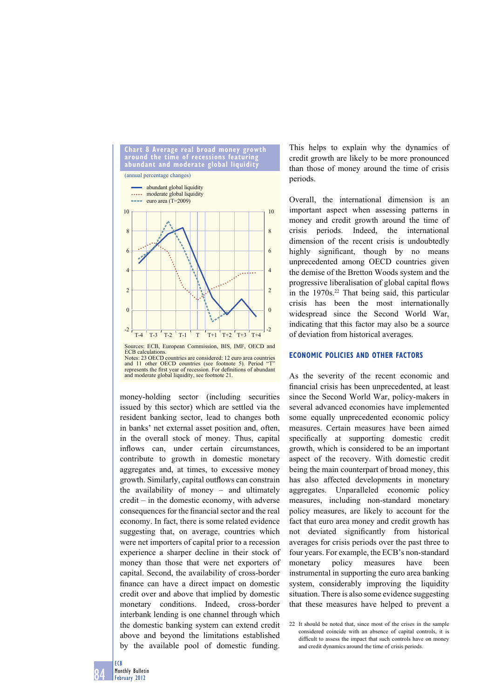

and 11 other OECD countries (see footnote 5). Period represents the first year of recession. For definitions of abundant and moderate global liquidity, see footnote 21.

money-holding sector (including securities issued by this sector) which are settled via the resident banking sector, lead to changes both in banks' net external asset position and, often, in the overall stock of money. Thus, capital inflows can, under certain circumstances, contribute to growth in domestic monetary aggregates and, at times, to excessive money growth. Similarly, capital outflows can constrain the availability of money – and ultimately credit – in the domestic economy, with adverse consequences for the financial sector and the real economy. In fact, there is some related evidence suggesting that, on average, countries which were net importers of capital prior to a recession experience a sharper decline in their stock of money than those that were net exporters of capital. Second, the availability of cross-border finance can have a direct impact on domestic credit over and above that implied by domestic monetary conditions. Indeed, cross-border interbank lending is one channel through which the domestic banking system can extend credit above and beyond the limitations established by the available pool of domestic funding.

This helps to explain why the dynamics of credit growth are likely to be more pronounced than those of money around the time of crisis periods.

Overall, the international dimension is an important aspect when assessing patterns in money and credit growth around the time of crisis periods. Indeed, the international dimension of the recent crisis is undoubtedly highly significant, though by no means unprecedented among OECD countries given the demise of the Bretton Woods system and the progressive liberalisation of global capital flows in the  $1970s$ <sup>22</sup> That being said, this particular crisis has been the most internationally widespread since the Second World War, indicating that this factor may also be a source of deviation from historical averages.

## **ECONOMIC POLICIES AND OTHER FACTORS**

As the severity of the recent economic and financial crisis has been unprecedented, at least since the Second World War, policy-makers in several advanced economies have implemented some equally unprecedented economic policy measures. Certain measures have been aimed specifically at supporting domestic credit growth, which is considered to be an important aspect of the recovery. With domestic credit being the main counterpart of broad money, this has also affected developments in monetary aggregates. Unparalleled economic policy measures, including non-standard monetary policy measures, are likely to account for the fact that euro area money and credit growth has not deviated significantly from historical averages for crisis periods over the past three to four years. For example, the ECB's non-standard monetary policy measures have been instrumental in supporting the euro area banking system, considerably improving the liquidity situation. There is also some evidence suggesting that these measures have helped to prevent a

<sup>22</sup> It should be noted that, since most of the crises in the sample considered coincide with an absence of capital controls, it is difficult to assess the impact that such controls have on money and credit dynamics around the time of crisis periods.